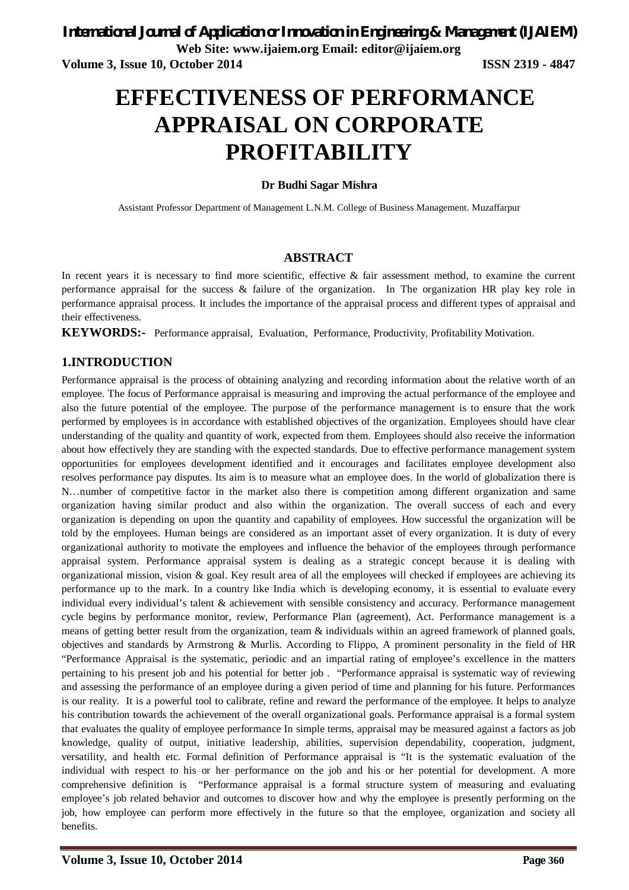# **EFFECTIVENESS OF PERFORMANCE APPRAISAL ON CORPORATE PROFITABILITY**

#### **Dr Budhi Sagar Mishra**

Assistant Professor Department of Management L.N.M. College of Business Management. Muzaffarpur

#### **ABSTRACT**

In recent years it is necessary to find more scientific, effective & fair assessment method, to examine the current performance appraisal for the success & failure of the organization. In The organization HR play key role in performance appraisal process. It includes the importance of the appraisal process and different types of appraisal and their effectiveness.

**KEYWORDS:-** Performance appraisal, Evaluation, Performance, Productivity, Profitability Motivation.

#### **1.INTRODUCTION**

Performance appraisal is the process of obtaining analyzing and recording information about the relative worth of an employee. The focus of Performance appraisal is measuring and improving the actual performance of the employee and also the future potential of the employee. The purpose of the performance management is to ensure that the work performed by employees is in accordance with established objectives of the organization. Employees should have clear understanding of the quality and quantity of work, expected from them. Employees should also receive the information about how effectively they are standing with the expected standards. Due to effective performance management system opportunities for employees development identified and it encourages and facilitates employee development also resolves performance pay disputes. Its aim is to measure what an employee does. In the world of globalization there is N…number of competitive factor in the market also there is competition among different organization and same organization having similar product and also within the organization. The overall success of each and every organization is depending on upon the quantity and capability of employees. How successful the organization will be told by the employees. Human beings are considered as an important asset of every organization. It is duty of every organizational authority to motivate the employees and influence the behavior of the employees through performance appraisal system. Performance appraisal system is dealing as a strategic concept because it is dealing with organizational mission, vision  $\&$  goal. Key result area of all the employees will checked if employees are achieving its performance up to the mark. In a country like India which is developing economy, it is essential to evaluate every individual every individual's talent & achievement with sensible consistency and accuracy. Performance management cycle begins by performance monitor, review, Performance Plan (agreement), Act. Performance management is a means of getting better result from the organization, team & individuals within an agreed framework of planned goals, objectives and standards by Armstrong & Murlis. According to Flippo, A prominent personality in the field of HR "Performance Appraisal is the systematic, periodic and an impartial rating of employee's excellence in the matters pertaining to his present job and his potential for better job . "Performance appraisal is systematic way of reviewing and assessing the performance of an employee during a given period of time and planning for his future. Performances is our reality. It is a powerful tool to calibrate, refine and reward the performance of the employee. It helps to analyze his contribution towards the achievement of the overall organizational goals. Performance appraisal is a formal system that evaluates the quality of employee performance In simple terms, appraisal may be measured against a factors as job knowledge, quality of output, initiative leadership, abilities, supervision dependability, cooperation, judgment, versatility, and health etc. Formal definition of Performance appraisal is "It is the systematic evaluation of the individual with respect to his or her performance on the job and his or her potential for development. A more comprehensive definition is "Performance appraisal is a formal structure system of measuring and evaluating employee's job related behavior and outcomes to discover how and why the employee is presently performing on the job, how employee can perform more effectively in the future so that the employee, organization and society all benefits.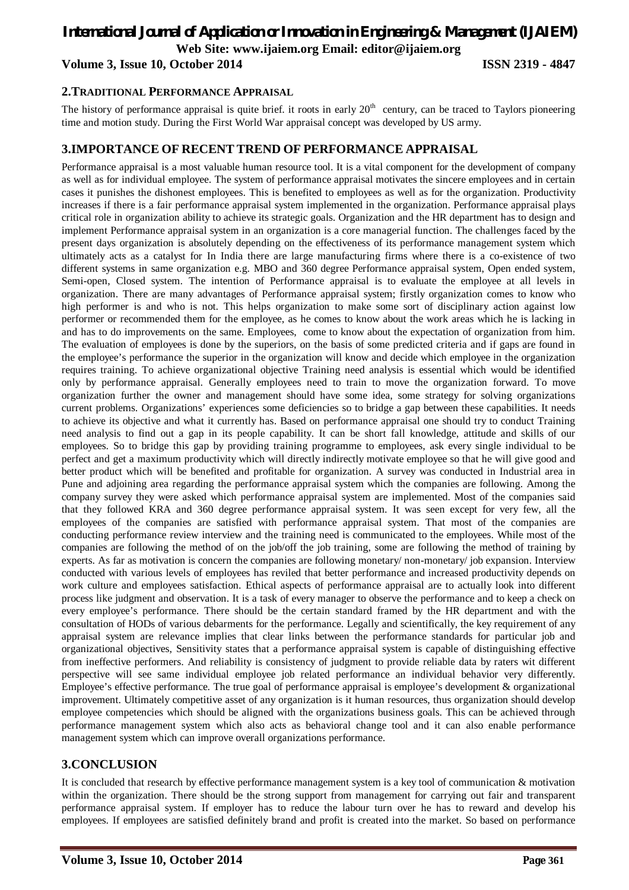# *International Journal of Application or Innovation in Engineering & Management (IJAIEM)* **Web Site: www.ijaiem.org Email: editor@ijaiem.org Volume 3, Issue 10, October 2014 ISSN 2319 - 4847**

### **2.TRADITIONAL PERFORMANCE APPRAISAL**

The history of performance appraisal is quite brief. it roots in early  $20<sup>th</sup>$  century, can be traced to Taylors pioneering time and motion study. During the First World War appraisal concept was developed by US army.

### **3.IMPORTANCE OF RECENT TREND OF PERFORMANCE APPRAISAL**

Performance appraisal is a most valuable human resource tool. It is a vital component for the development of company as well as for individual employee. The system of performance appraisal motivates the sincere employees and in certain cases it punishes the dishonest employees. This is benefited to employees as well as for the organization. Productivity increases if there is a fair performance appraisal system implemented in the organization. Performance appraisal plays critical role in organization ability to achieve its strategic goals. Organization and the HR department has to design and implement Performance appraisal system in an organization is a core managerial function. The challenges faced by the present days organization is absolutely depending on the effectiveness of its performance management system which ultimately acts as a catalyst for In India there are large manufacturing firms where there is a co-existence of two different systems in same organization e.g. MBO and 360 degree Performance appraisal system, Open ended system, Semi-open, Closed system. The intention of Performance appraisal is to evaluate the employee at all levels in organization. There are many advantages of Performance appraisal system; firstly organization comes to know who high performer is and who is not. This helps organization to make some sort of disciplinary action against low performer or recommended them for the employee, as he comes to know about the work areas which he is lacking in and has to do improvements on the same. Employees, come to know about the expectation of organization from him. The evaluation of employees is done by the superiors, on the basis of some predicted criteria and if gaps are found in the employee's performance the superior in the organization will know and decide which employee in the organization requires training. To achieve organizational objective Training need analysis is essential which would be identified only by performance appraisal. Generally employees need to train to move the organization forward. To move organization further the owner and management should have some idea, some strategy for solving organizations current problems. Organizations' experiences some deficiencies so to bridge a gap between these capabilities. It needs to achieve its objective and what it currently has. Based on performance appraisal one should try to conduct Training need analysis to find out a gap in its people capability. It can be short fall knowledge, attitude and skills of our employees. So to bridge this gap by providing training programme to employees, ask every single individual to be perfect and get a maximum productivity which will directly indirectly motivate employee so that he will give good and better product which will be benefited and profitable for organization. A survey was conducted in Industrial area in Pune and adjoining area regarding the performance appraisal system which the companies are following. Among the company survey they were asked which performance appraisal system are implemented. Most of the companies said that they followed KRA and 360 degree performance appraisal system. It was seen except for very few, all the employees of the companies are satisfied with performance appraisal system. That most of the companies are conducting performance review interview and the training need is communicated to the employees. While most of the companies are following the method of on the job/off the job training, some are following the method of training by experts. As far as motivation is concern the companies are following monetary/ non-monetary/ job expansion. Interview conducted with various levels of employees has reviled that better performance and increased productivity depends on work culture and employees satisfaction. Ethical aspects of performance appraisal are to actually look into different process like judgment and observation. It is a task of every manager to observe the performance and to keep a check on every employee's performance. There should be the certain standard framed by the HR department and with the consultation of HODs of various debarments for the performance. Legally and scientifically, the key requirement of any appraisal system are relevance implies that clear links between the performance standards for particular job and organizational objectives, Sensitivity states that a performance appraisal system is capable of distinguishing effective from ineffective performers. And reliability is consistency of judgment to provide reliable data by raters wit different perspective will see same individual employee job related performance an individual behavior very differently. Employee's effective performance. The true goal of performance appraisal is employee's development & organizational improvement. Ultimately competitive asset of any organization is it human resources, thus organization should develop employee competencies which should be aligned with the organizations business goals. This can be achieved through performance management system which also acts as behavioral change tool and it can also enable performance management system which can improve overall organizations performance.

#### **3.CONCLUSION**

It is concluded that research by effective performance management system is a key tool of communication & motivation within the organization. There should be the strong support from management for carrying out fair and transparent performance appraisal system. If employer has to reduce the labour turn over he has to reward and develop his employees. If employees are satisfied definitely brand and profit is created into the market. So based on performance